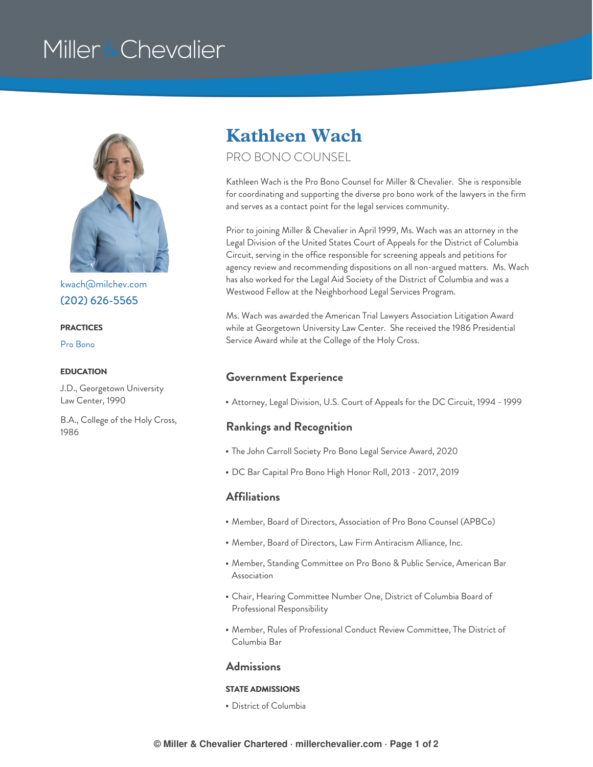# Miller & Chevalier



[kwach@milchev.com](mailto:kwach@milchev.com) (202) [626-5565](tel:202-626-5565)

#### **PRACTICES**

Pro [Bono](https://www.millerchevalier.com/practice-area/pro-bono)

J.D., Georgetown University Law Center, 1990

B.A., College of the Holy Cross, 1986

# **Kathleen Wach**

### PRO BONO COUNSEL

Kathleen Wach is the Pro Bono Counsel for Miller & Chevalier. She is responsible for coordinating and supporting the diverse pro bono work of the lawyers in the firm and serves as a contact point for the legal services community.

Prior to joining Miller & Chevalier in April 1999, Ms. Wach was an attorney in the Legal Division of the United States Court of Appeals for the District of Columbia Circuit, serving in the office responsible for screening appeals and petitions for agency review and recommending dispositions on all non-argued matters. Ms. Wach has also worked for the Legal Aid Society of the District of Columbia and was a Westwood Fellow at the Neighborhood Legal Services Program.

Ms. Wach was awarded the American Trial Lawyers Association Litigation Award while at Georgetown University Law Center. She received the 1986 Presidential Service Award while at the College of the Holy Cross.

## **EDUCATION Government Experience**

Attorney, Legal Division, U.S. Court of Appeals for the DC Circuit, 1994 - 1999

### **Rankings and Recognition**

- The John Carroll Society Pro Bono Legal Service Award, 2020
- DC Bar Capital Pro Bono High Honor Roll, 2013 2017, 2019

#### **Affiliations**

- Member, Board of Directors, Association of Pro Bono Counsel (APBCo)
- Member, Board of Directors, Law Firm Antiracism Alliance, Inc.
- Member, Standing Committee on Pro Bono & Public Service, American Bar Association
- Chair, Hearing Committee Number One, District of Columbia Board of Professional Responsibility
- Member, Rules of Professional Conduct Review Committee, The District of Columbia Bar

#### **Admissions**

#### **STATE ADMISSIONS**

District of Columbia